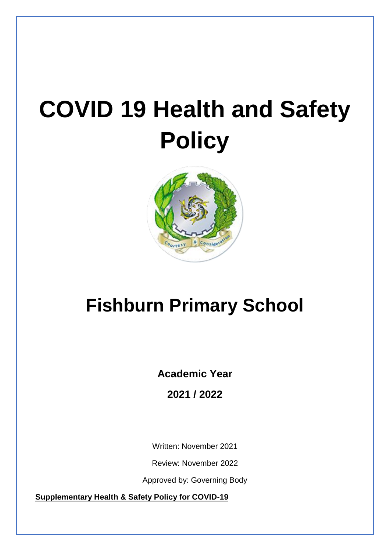# **COVID 19 Health and Safety Policy**



# **Fishburn Primary School**

**Academic Year** 

**2021 / 2022**

Written: November 2021

Review: November 2022

Approved by: Governing Body

**Supplementary Health & Safety Policy for COVID-19**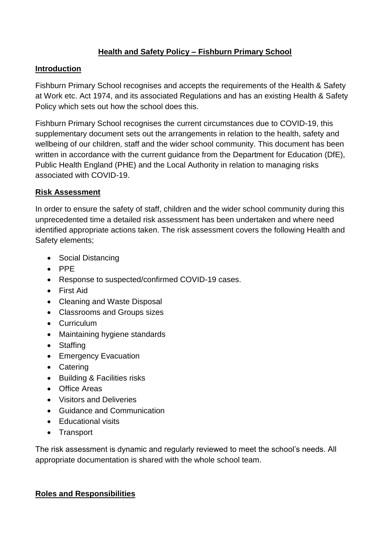# **Health and Safety Policy – Fishburn Primary School**

#### **Introduction**

Fishburn Primary School recognises and accepts the requirements of the Health & Safety at Work etc. Act 1974, and its associated Regulations and has an existing Health & Safety Policy which sets out how the school does this.

Fishburn Primary School recognises the current circumstances due to COVID-19, this supplementary document sets out the arrangements in relation to the health, safety and wellbeing of our children, staff and the wider school community. This document has been written in accordance with the current guidance from the Department for Education (DfE), Public Health England (PHE) and the Local Authority in relation to managing risks associated with COVID-19.

#### **Risk Assessment**

In order to ensure the safety of staff, children and the wider school community during this unprecedented time a detailed risk assessment has been undertaken and where need identified appropriate actions taken. The risk assessment covers the following Health and Safety elements;

- Social Distancing
- PPE
- Response to suspected/confirmed COVID-19 cases.
- First Aid
- Cleaning and Waste Disposal
- Classrooms and Groups sizes
- Curriculum
- Maintaining hygiene standards
- Staffing
- Emergency Evacuation
- Catering
- Building & Facilities risks
- Office Areas
- Visitors and Deliveries
- Guidance and Communication
- Educational visits
- Transport

The risk assessment is dynamic and regularly reviewed to meet the school's needs. All appropriate documentation is shared with the whole school team.

#### **Roles and Responsibilities**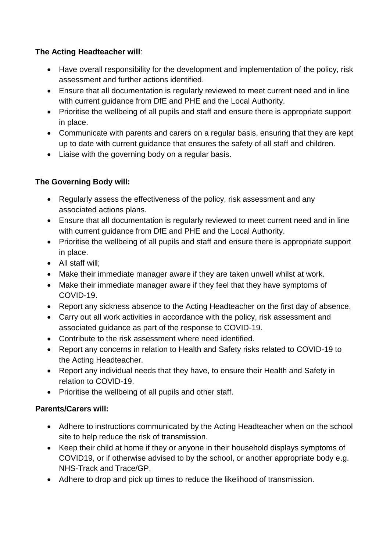# **The Acting Headteacher will**:

- Have overall responsibility for the development and implementation of the policy, risk assessment and further actions identified.
- Ensure that all documentation is regularly reviewed to meet current need and in line with current guidance from DfE and PHE and the Local Authority.
- Prioritise the wellbeing of all pupils and staff and ensure there is appropriate support in place.
- Communicate with parents and carers on a regular basis, ensuring that they are kept up to date with current guidance that ensures the safety of all staff and children.
- Liaise with the governing body on a regular basis.

## **The Governing Body will:**

- Regularly assess the effectiveness of the policy, risk assessment and any associated actions plans.
- Ensure that all documentation is regularly reviewed to meet current need and in line with current guidance from DfE and PHE and the Local Authority.
- Prioritise the wellbeing of all pupils and staff and ensure there is appropriate support in place.
- All staff will;
- Make their immediate manager aware if they are taken unwell whilst at work.
- Make their immediate manager aware if they feel that they have symptoms of COVID-19.
- Report any sickness absence to the Acting Headteacher on the first day of absence.
- Carry out all work activities in accordance with the policy, risk assessment and associated guidance as part of the response to COVID-19.
- Contribute to the risk assessment where need identified.
- Report any concerns in relation to Health and Safety risks related to COVID-19 to the Acting Headteacher.
- Report any individual needs that they have, to ensure their Health and Safety in relation to COVID-19.
- Prioritise the wellbeing of all pupils and other staff.

# **Parents/Carers will:**

- Adhere to instructions communicated by the Acting Headteacher when on the school site to help reduce the risk of transmission.
- Keep their child at home if they or anyone in their household displays symptoms of COVID19, or if otherwise advised to by the school, or another appropriate body e.g. NHS-Track and Trace/GP.
- Adhere to drop and pick up times to reduce the likelihood of transmission.